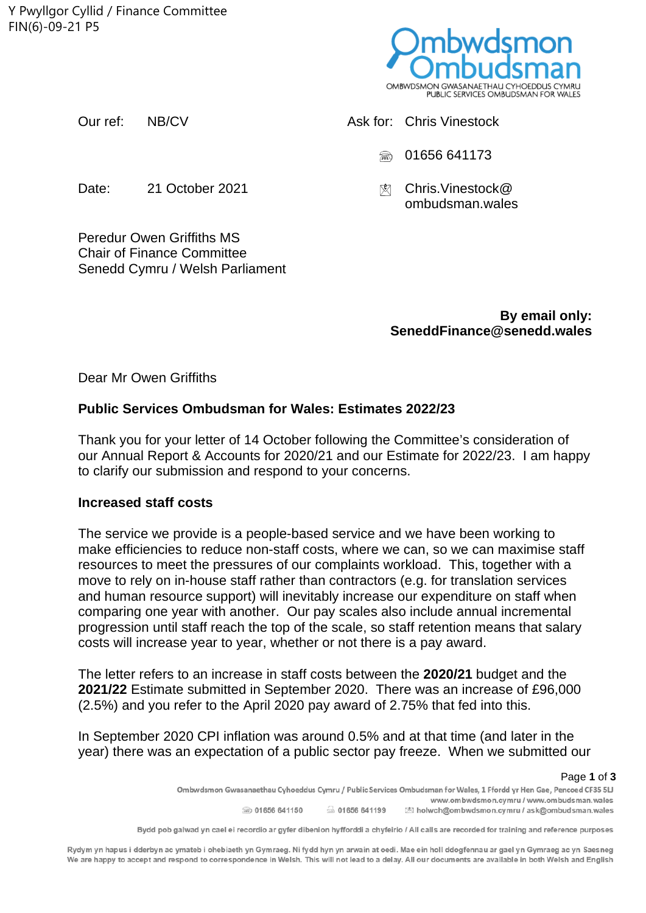Y Pwyllgor Cyllid / Finance Committee FIN(6)-09-21 P5



Our ref: NB/CV Ask for: Chris Vinestock  $\textcircled{3}$  01656 641173 Date: 21 October 2021 Chris.Vinestock@ ombudsman.wales

Peredur Owen Griffiths MS Chair of Finance Committee Senedd Cymru / Welsh Parliament

> **By email only: SeneddFinance@senedd.wales**

Dear Mr Owen Griffiths

## **Public Services Ombudsman for Wales: Estimates 2022/23**

Thank you for your letter of 14 October following the Committee's consideration of our Annual Report & Accounts for 2020/21 and our Estimate for 2022/23. I am happy to clarify our submission and respond to your concerns.

## **Increased staff costs**

The service we provide is a people-based service and we have been working to make efficiencies to reduce non-staff costs, where we can, so we can maximise staff resources to meet the pressures of our complaints workload. This, together with a move to rely on in-house staff rather than contractors (e.g. for translation services and human resource support) will inevitably increase our expenditure on staff when comparing one year with another. Our pay scales also include annual incremental progression until staff reach the top of the scale, so staff retention means that salary costs will increase year to year, whether or not there is a pay award.

The letter refers to an increase in staff costs between the **2020/21** budget and the **2021/22** Estimate submitted in September 2020. There was an increase of £96,000 (2.5%) and you refer to the April 2020 pay award of 2.75% that fed into this.

In September 2020 CPI inflation was around 0.5% and at that time (and later in the year) there was an expectation of a public sector pay freeze. When we submitted our

Page **1** of **3**  www.ombwdsmon.cymru / www.ombudsman.wales 5 01656 641199 200 01656 641150 S holwch@ombwdsmon.cymru / ask@ombudsman.wales

Rydym yn hapus i dderbyn ac ymateb i ohebiaeth yn Gymraeg. Ni fydd hyn yn arwain at oedi. Mae ein holl ddogfennau ar gael yn Gymraeg ac yn Saesneg We are happy to accept and respond to correspondence in Welsh. This will not lead to a delay. All our documents are available in both Welsh and English

Bydd pob galwad yn cael ei recordio ar gyfer dibenion hyfforddi a chyfeirio / All calls are recorded for training and reference purposes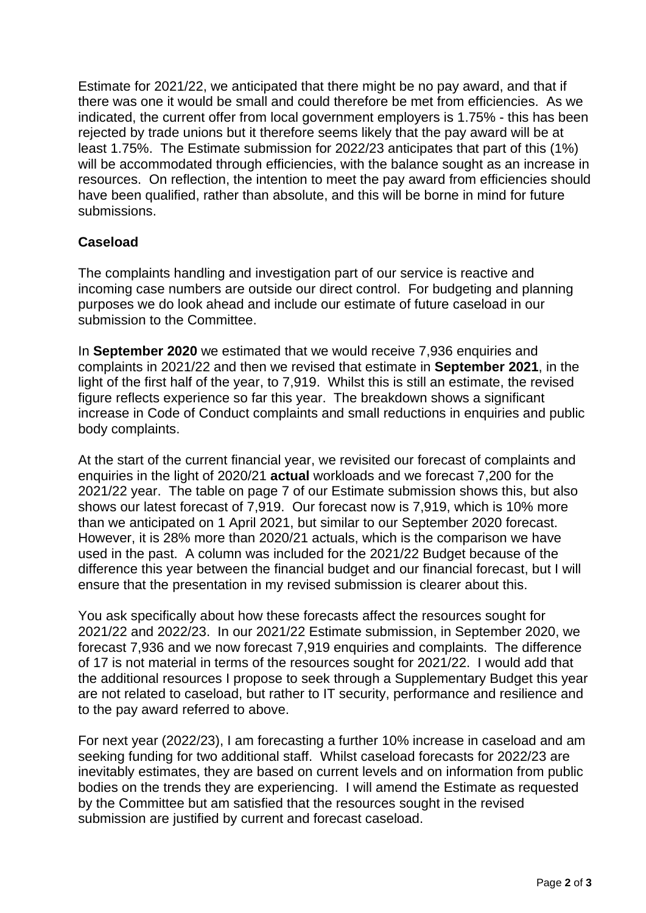Estimate for 2021/22, we anticipated that there might be no pay award, and that if there was one it would be small and could therefore be met from efficiencies. As we indicated, the current offer from local government employers is 1.75% - this has been rejected by trade unions but it therefore seems likely that the pay award will be at least 1.75%. The Estimate submission for 2022/23 anticipates that part of this (1%) will be accommodated through efficiencies, with the balance sought as an increase in resources. On reflection, the intention to meet the pay award from efficiencies should have been qualified, rather than absolute, and this will be borne in mind for future submissions.

## **Caseload**

The complaints handling and investigation part of our service is reactive and incoming case numbers are outside our direct control. For budgeting and planning purposes we do look ahead and include our estimate of future caseload in our submission to the Committee.

In **September 2020** we estimated that we would receive 7,936 enquiries and complaints in 2021/22 and then we revised that estimate in **September 2021**, in the light of the first half of the year, to 7,919. Whilst this is still an estimate, the revised figure reflects experience so far this year. The breakdown shows a significant increase in Code of Conduct complaints and small reductions in enquiries and public body complaints.

At the start of the current financial year, we revisited our forecast of complaints and enquiries in the light of 2020/21 **actual** workloads and we forecast 7,200 for the 2021/22 year. The table on page 7 of our Estimate submission shows this, but also shows our latest forecast of 7,919. Our forecast now is 7,919, which is 10% more than we anticipated on 1 April 2021, but similar to our September 2020 forecast. However, it is 28% more than 2020/21 actuals, which is the comparison we have used in the past. A column was included for the 2021/22 Budget because of the difference this year between the financial budget and our financial forecast, but I will ensure that the presentation in my revised submission is clearer about this.

You ask specifically about how these forecasts affect the resources sought for 2021/22 and 2022/23. In our 2021/22 Estimate submission, in September 2020, we forecast 7,936 and we now forecast 7,919 enquiries and complaints. The difference of 17 is not material in terms of the resources sought for 2021/22. I would add that the additional resources I propose to seek through a Supplementary Budget this year are not related to caseload, but rather to IT security, performance and resilience and to the pay award referred to above.

For next year (2022/23), I am forecasting a further 10% increase in caseload and am seeking funding for two additional staff. Whilst caseload forecasts for 2022/23 are inevitably estimates, they are based on current levels and on information from public bodies on the trends they are experiencing. I will amend the Estimate as requested by the Committee but am satisfied that the resources sought in the revised submission are justified by current and forecast caseload.